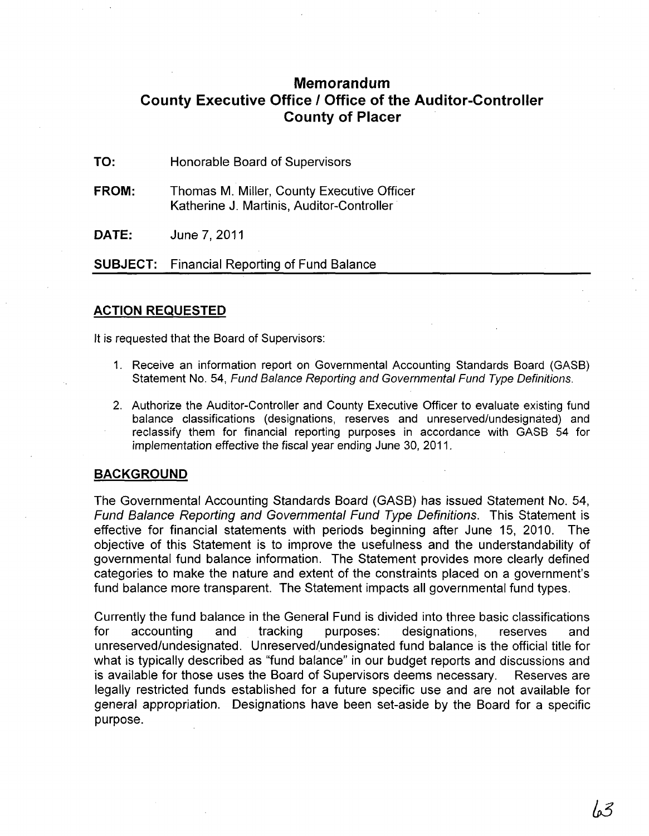## **Memorandum County Executive Office I Office of the Auditor-Controller County of Placer**

**TO:**  Honorable Board of Supervisors

**FROM:**  Thomas M. Miller, County Executive Officer Katherine J. Martinis, Auditor-Controller

**DATE:**  June 7,2011

**SUBJECT:** Financial Reporting of Fund Balance

## **ACTION REQUESTED**

It is requested that the Board of Supervisors:

- 1. Receive an information report on Governmental Accounting Standards Board (GASB) Statement No. 54, Fund Balance Reporting and Governmental Fund Type Definitions.
- 2. Authorize the Auditor-Controller and County Executive Officer to evaluate existing fund balance classifications (designations, reserves and unreserved/undesignated) and reclassify them for financial reporting purposes in accordance with GASB 54 for implementation effective the fiscal year ending June 30, 2011.

## **BACKGROUND**

The Governmental Accounting Standards Board (GASB) has issued Statement No. 54, Fund Balance Reporting and Governmental Fund Type Definitions. This Statement is effective for financial statements with periods beginning after June 15, 2010. The objective of this Statement is to improve the usefulness and the understandability of governmental fund balance information. The Statement provides more clearly defined categories to make the nature and extent of the constraints placed on a government's fund balance more transparent. The Statement impacts all governmental fund types.

Currently the fund balance in the General Fund is divided into three basic classifications for accounting and tracking purposes: designations, reserves and unreserved/undesignated. Unreserved/undesignated fund balance is the official title for what is typically described as "fund balance" in our budget reports and discussions and is available for those uses the Board of Supervisors deems necessary. Reserves are legally restricted funds established for a future specific use and are not available for general appropriation. Designations have been set-aside by the Board for a specific purpose.